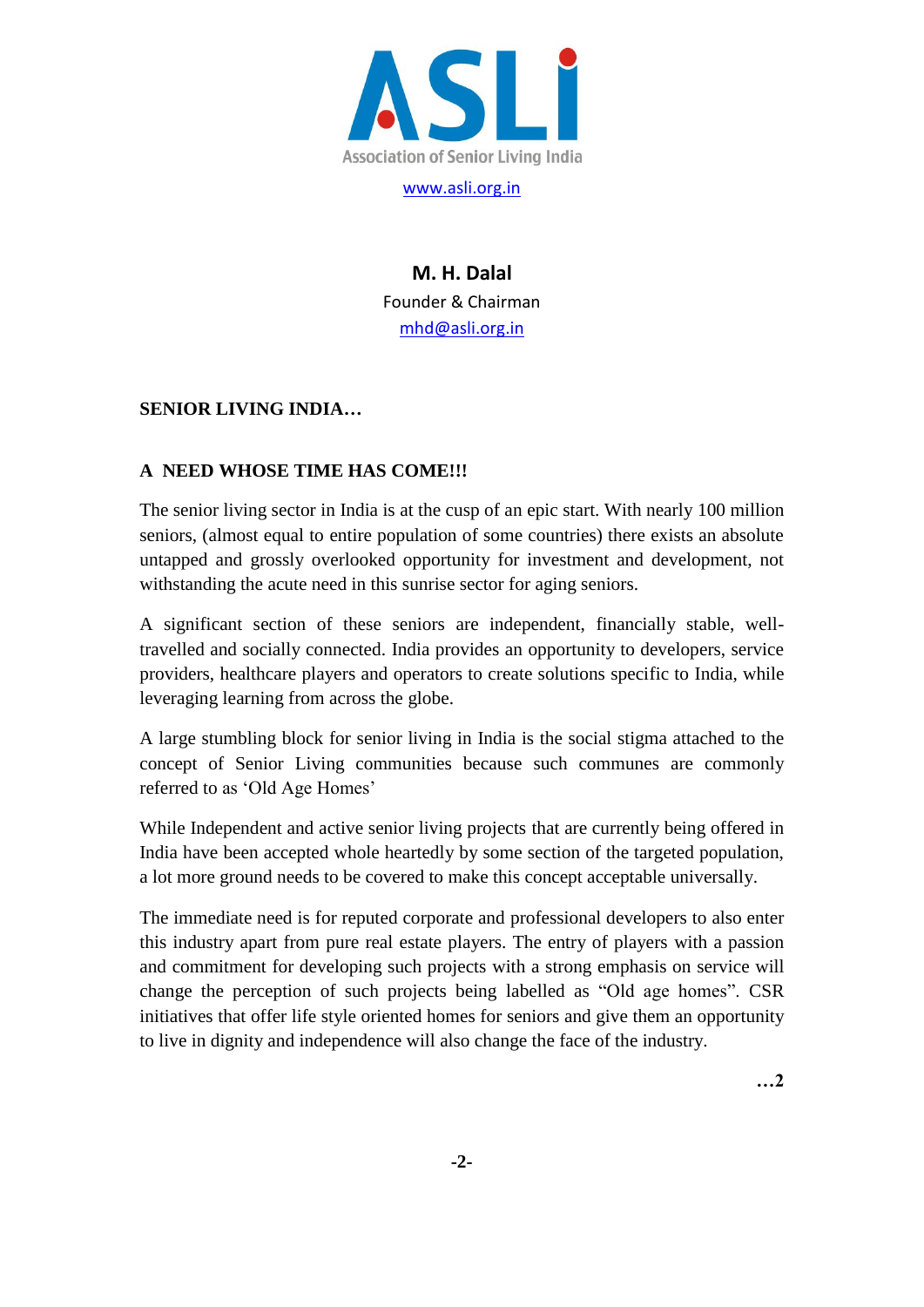

**M. H. Dalal** Founder & Chairman [mhd@asli.org.in](mailto:mhd@asli.org.in)

# **SENIOR LIVING INDIA…**

# **A NEED WHOSE TIME HAS COME!!!**

The senior living sector in India is at the cusp of an epic start. With nearly 100 million seniors, (almost equal to entire population of some countries) there exists an absolute untapped and grossly overlooked opportunity for investment and development, not withstanding the acute need in this sunrise sector for aging seniors.

A significant section of these seniors are independent, financially stable, welltravelled and socially connected. India provides an opportunity to developers, service providers, healthcare players and operators to create solutions specific to India, while leveraging learning from across the globe.

A large stumbling block for senior living in India is the social stigma attached to the concept of Senior Living communities because such communes are commonly referred to as "Old Age Homes"

While Independent and active senior living projects that are currently being offered in India have been accepted whole heartedly by some section of the targeted population, a lot more ground needs to be covered to make this concept acceptable universally.

The immediate need is for reputed corporate and professional developers to also enter this industry apart from pure real estate players. The entry of players with a passion and commitment for developing such projects with a strong emphasis on service will change the perception of such projects being labelled as "Old age homes". CSR initiatives that offer life style oriented homes for seniors and give them an opportunity to live in dignity and independence will also change the face of the industry.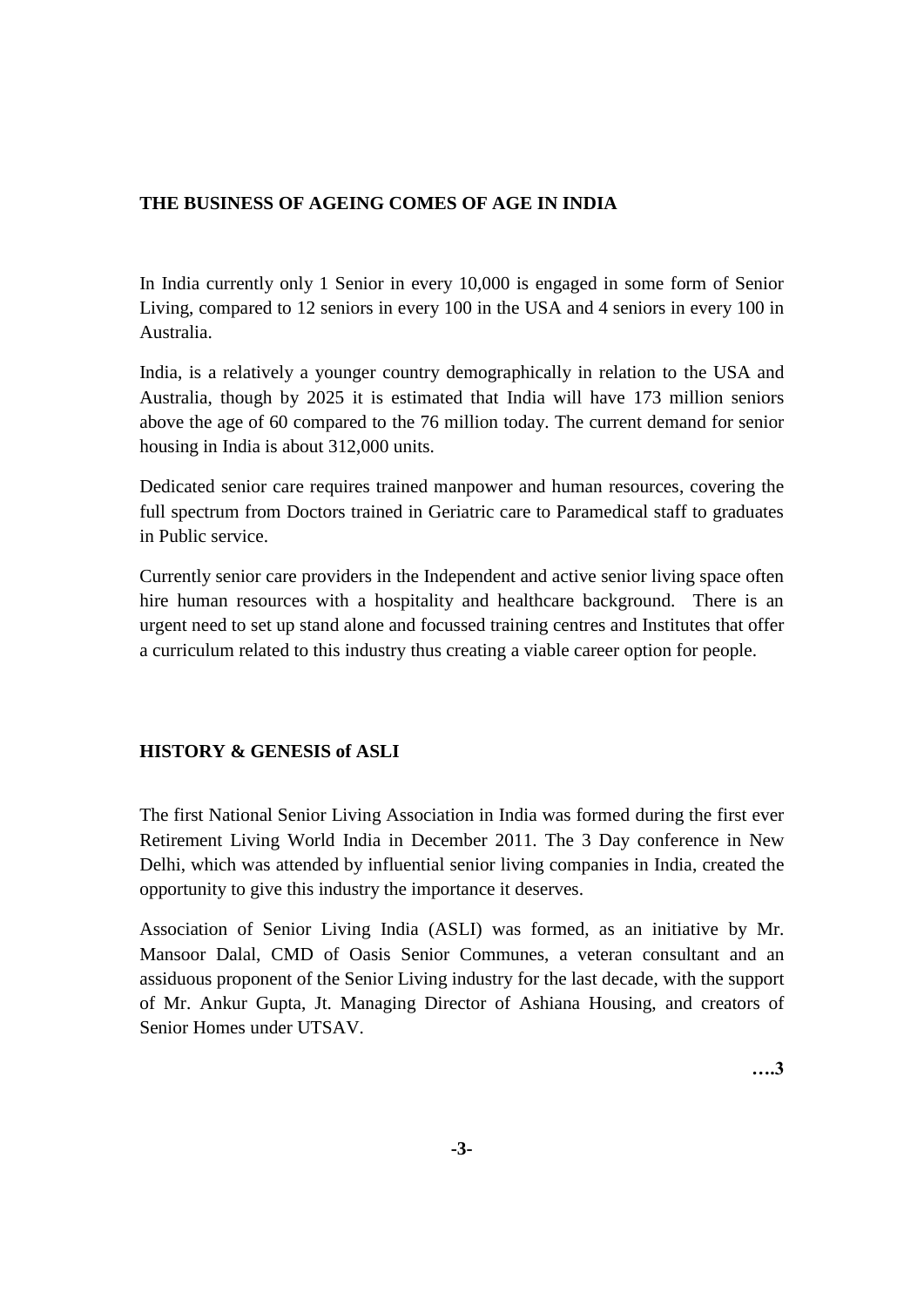### **THE BUSINESS OF AGEING COMES OF AGE IN INDIA**

In India currently only 1 Senior in every 10,000 is engaged in some form of Senior Living, compared to 12 seniors in every 100 in the USA and 4 seniors in every 100 in Australia.

India, is a relatively a younger country demographically in relation to the USA and Australia, though by 2025 it is estimated that India will have 173 million seniors above the age of 60 compared to the 76 million today. The current demand for senior housing in India is about 312,000 units.

Dedicated senior care requires trained manpower and human resources, covering the full spectrum from Doctors trained in Geriatric care to Paramedical staff to graduates in Public service.

Currently senior care providers in the Independent and active senior living space often hire human resources with a hospitality and healthcare background. There is an urgent need to set up stand alone and focussed training centres and Institutes that offer a curriculum related to this industry thus creating a viable career option for people.

# **HISTORY & GENESIS of ASLI**

The first National Senior Living Association in India was formed during the first ever Retirement Living World India in December 2011. The 3 Day conference in New Delhi, which was attended by influential senior living companies in India, created the opportunity to give this industry the importance it deserves.

Association of Senior Living India (ASLI) was formed, as an initiative by Mr. Mansoor Dalal, CMD of Oasis Senior Communes, a veteran consultant and an assiduous proponent of the Senior Living industry for the last decade, with the support of Mr. Ankur Gupta, Jt. Managing Director of Ashiana Housing, and creators of Senior Homes under UTSAV.

**….3**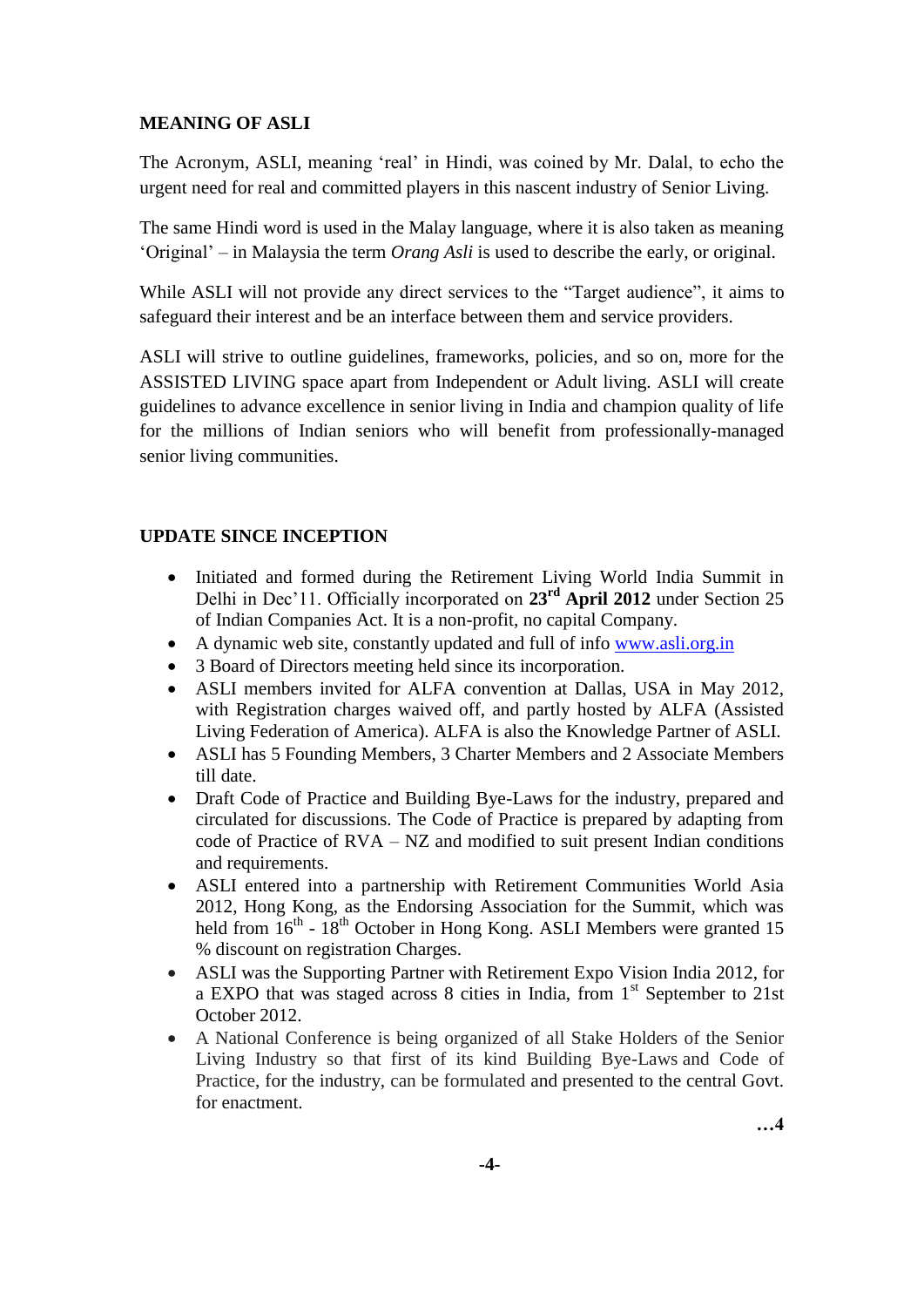### **MEANING OF ASLI**

The Acronym, ASLI, meaning "real" in Hindi, was coined by Mr. Dalal, to echo the urgent need for real and committed players in this nascent industry of Senior Living.

The same Hindi word is used in the Malay language, where it is also taken as meaning "Original" – in Malaysia the term *Orang Asli* is used to describe the early, or original.

While ASLI will not provide any direct services to the "Target audience", it aims to safeguard their interest and be an interface between them and service providers.

ASLI will strive to outline guidelines, frameworks, policies, and so on, more for the ASSISTED LIVING space apart from Independent or Adult living. ASLI will create guidelines to advance excellence in senior living in India and champion quality of life for the millions of Indian seniors who will benefit from professionally-managed senior living communities.

# **UPDATE SINCE INCEPTION**

- Initiated and formed during the Retirement Living World India Summit in Delhi in Dec"11. Officially incorporated on **23rd April 2012** under Section 25 of Indian Companies Act. It is a non-profit, no capital Company.
- A dynamic web site, constantly updated and full of info [www.asli.org.in](http://www.asli.org.in/)
- 3 Board of Directors meeting held since its incorporation.
- ASLI members invited for ALFA convention at Dallas, USA in May 2012, with Registration charges waived off, and partly hosted by ALFA (Assisted Living Federation of America). ALFA is also the Knowledge Partner of ASLI.
- ASLI has 5 Founding Members, 3 Charter Members and 2 Associate Members till date.
- Draft Code of Practice and Building Bye-Laws for the industry, prepared and circulated for discussions. The Code of Practice is prepared by adapting from code of Practice of  $RVA - NZ$  and modified to suit present Indian conditions and requirements.
- ASLI entered into a partnership with Retirement Communities World Asia 2012, Hong Kong, as the Endorsing Association for the Summit, which was held from  $16<sup>th</sup>$  -  $18<sup>th</sup>$  October in Hong Kong. ASLI Members were granted 15 % discount on registration Charges.
- ASLI was the Supporting Partner with Retirement Expo Vision India 2012, for a EXPO that was staged across 8 cities in India, from 1<sup>st</sup> September to 21st October 2012.
- A National Conference is being organized of all Stake Holders of the Senior Living Industry so that first of its kind Building Bye-Laws and Code of Practice, for the industry, can be formulated and presented to the central Govt. for enactment.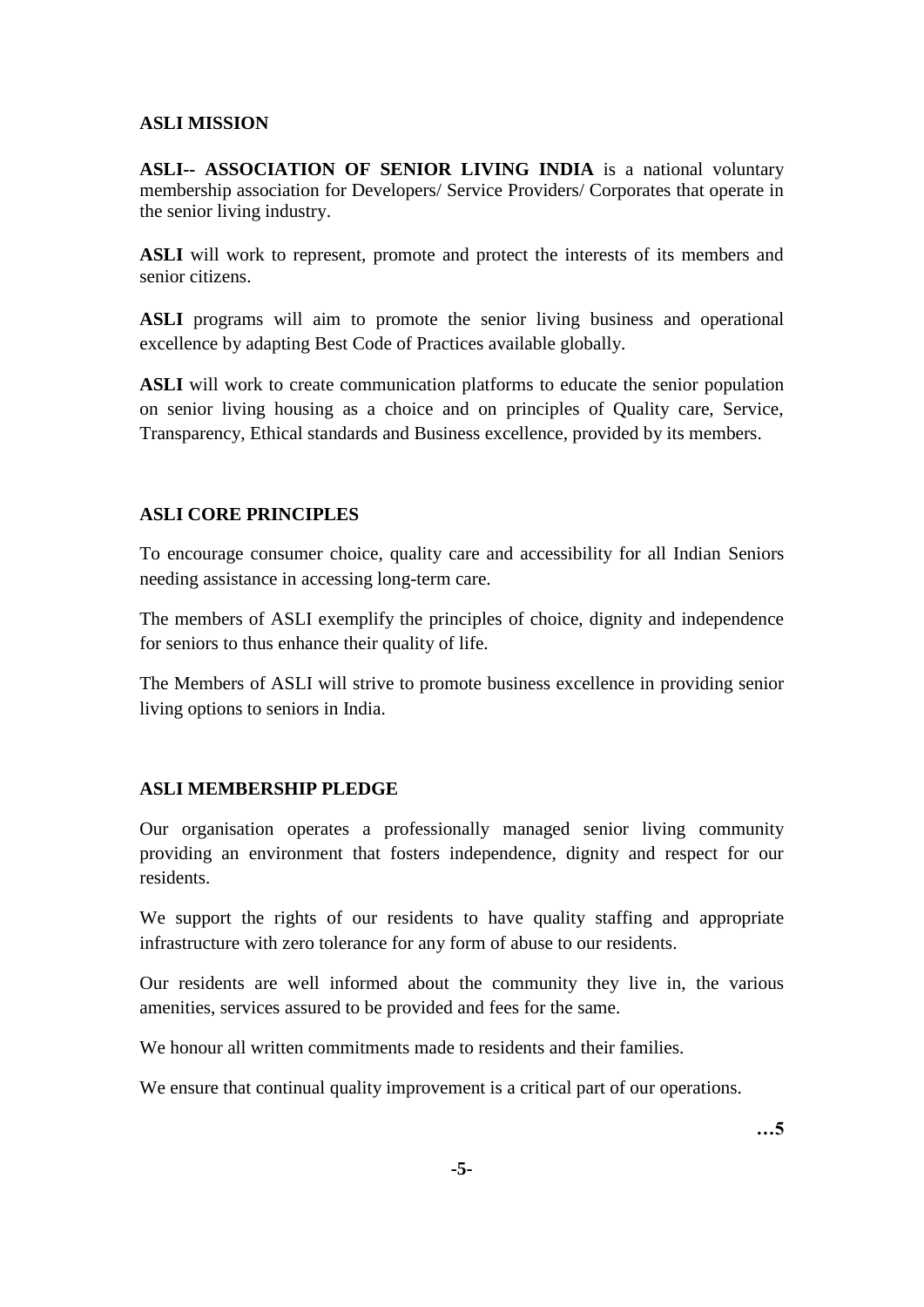### **ASLI MISSION**

**ASLI-- ASSOCIATION OF SENIOR LIVING INDIA** is a national voluntary membership association for Developers/ Service Providers/ Corporates that operate in the senior living industry.

**ASLI** will work to represent, promote and protect the interests of its members and senior citizens.

**ASLI** programs will aim to promote the senior living business and operational excellence by adapting Best Code of Practices available globally.

**ASLI** will work to create communication platforms to educate the senior population on senior living housing as a choice and on principles of Quality care, Service, Transparency, Ethical standards and Business excellence, provided by its members.

# **ASLI CORE PRINCIPLES**

To encourage consumer choice, quality care and accessibility for all Indian Seniors needing assistance in accessing long-term care.

The members of ASLI exemplify the principles of choice, dignity and independence for seniors to thus enhance their quality of life.

The Members of ASLI will strive to promote business excellence in providing senior living options to seniors in India.

#### **ASLI MEMBERSHIP PLEDGE**

Our organisation operates a professionally managed senior living community providing an environment that fosters independence, dignity and respect for our residents.

We support the rights of our residents to have quality staffing and appropriate infrastructure with zero tolerance for any form of abuse to our residents.

Our residents are well informed about the community they live in, the various amenities, services assured to be provided and fees for the same.

We honour all written commitments made to residents and their families.

We ensure that continual quality improvement is a critical part of our operations.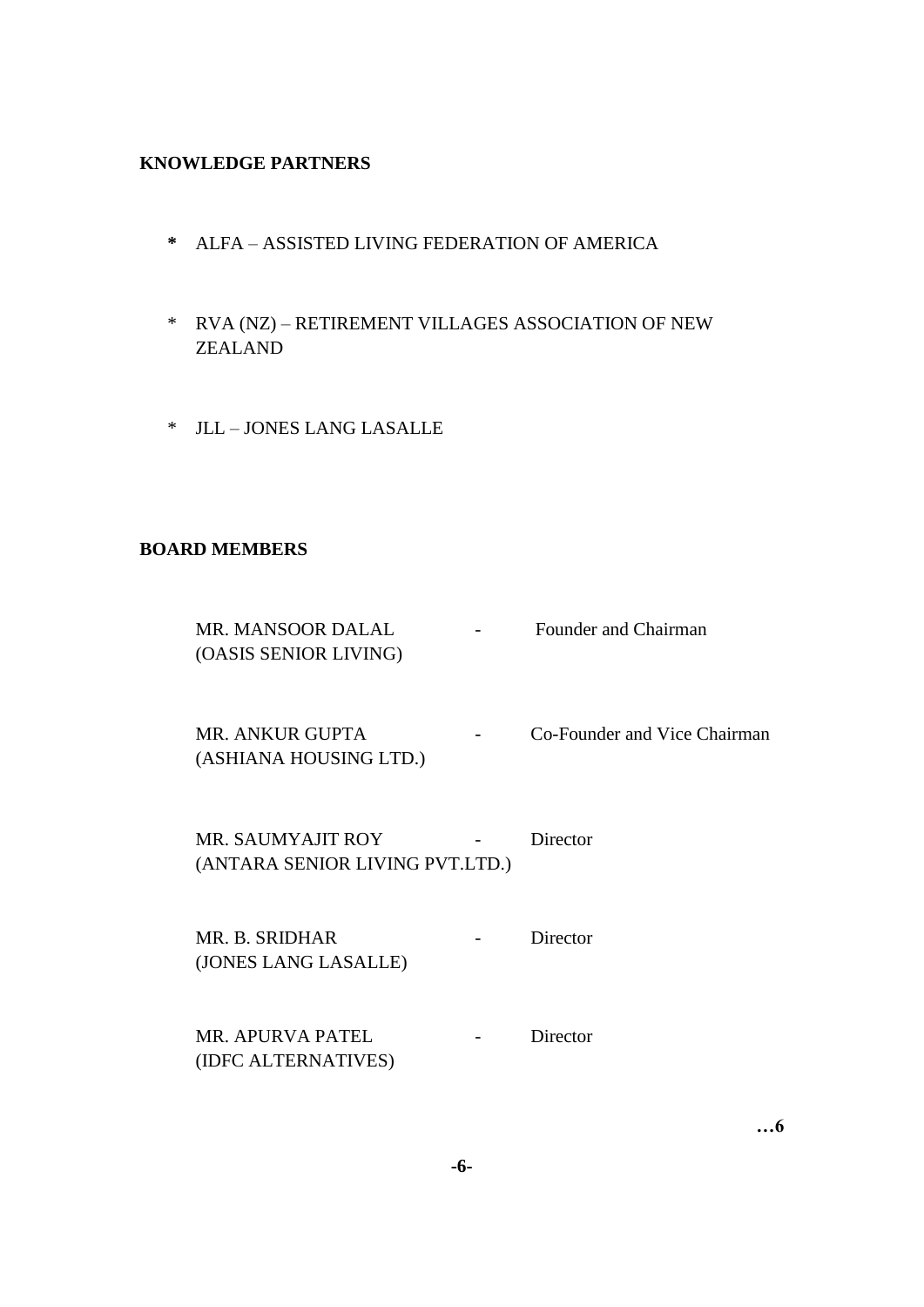### **KNOWLEDGE PARTNERS**

- **\*** ALFA ASSISTED LIVING FEDERATION OF AMERICA
- \* RVA (NZ) RETIREMENT VILLAGES ASSOCIATION OF NEW ZEALAND
- \* JLL JONES LANG LASALLE

#### **BOARD MEMBERS**

| MR. MANSOOR DALAL     | $\overline{\phantom{0}}$ | Founder and Chairman |
|-----------------------|--------------------------|----------------------|
| (OASIS SENIOR LIVING) |                          |                      |

MR. ANKUR GUPTA - Co-Founder and Vice Chairman (ASHIANA HOUSING LTD.)

MR. SAUMYAJIT ROY - Director (ANTARA SENIOR LIVING PVT.LTD.)

MR. B. SRIDHAR - Director (JONES LANG LASALLE)

MR. APURVA PATEL - Director (IDFC ALTERNATIVES)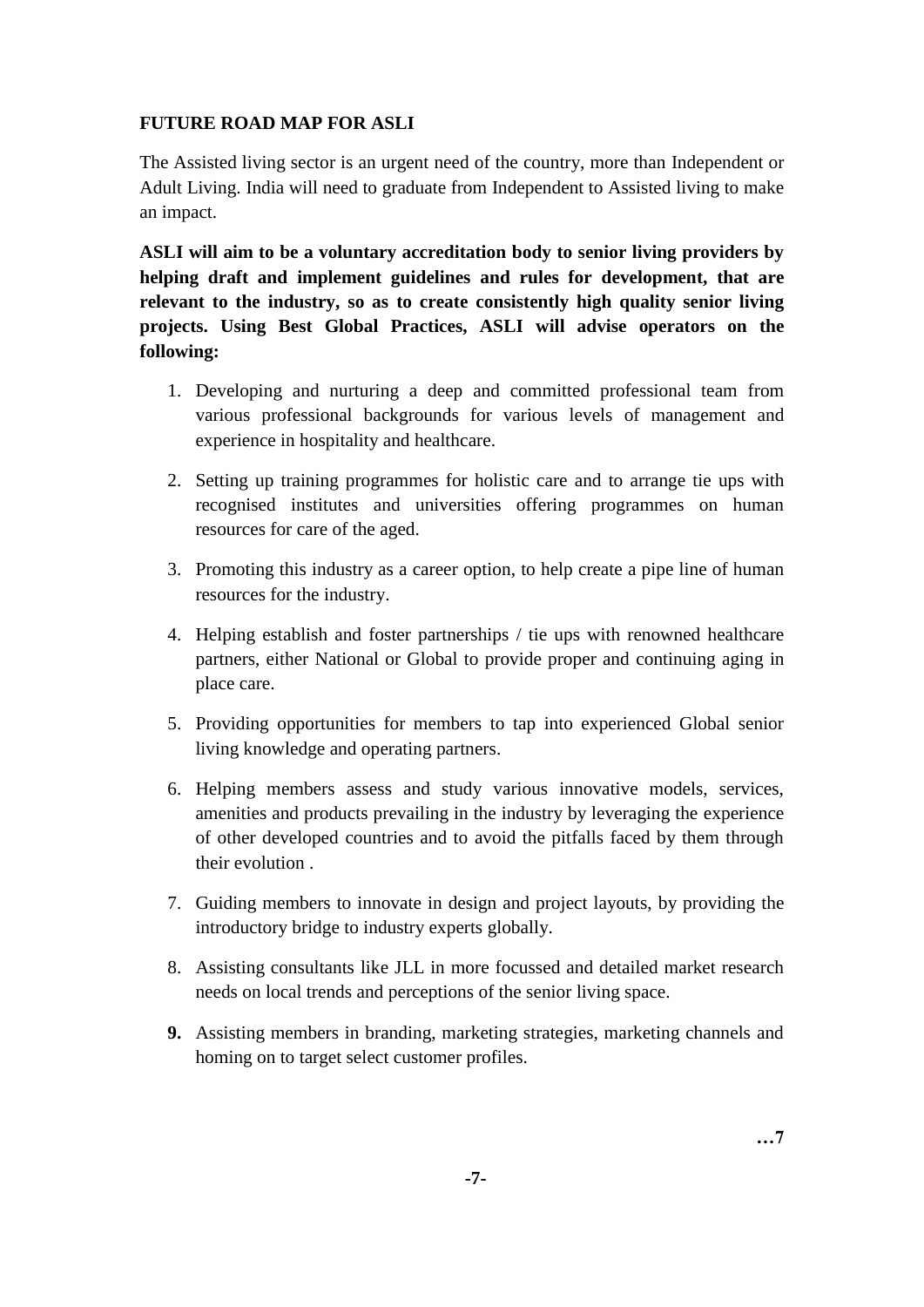# **FUTURE ROAD MAP FOR ASLI**

The Assisted living sector is an urgent need of the country, more than Independent or Adult Living. India will need to graduate from Independent to Assisted living to make an impact.

**ASLI will aim to be a voluntary accreditation body to senior living providers by helping draft and implement guidelines and rules for development, that are relevant to the industry, so as to create consistently high quality senior living projects. Using Best Global Practices, ASLI will advise operators on the following:**

- 1. Developing and nurturing a deep and committed professional team from various professional backgrounds for various levels of management and experience in hospitality and healthcare.
- 2. Setting up training programmes for holistic care and to arrange tie ups with recognised institutes and universities offering programmes on human resources for care of the aged.
- 3. Promoting this industry as a career option, to help create a pipe line of human resources for the industry.
- 4. Helping establish and foster partnerships / tie ups with renowned healthcare partners, either National or Global to provide proper and continuing aging in place care.
- 5. Providing opportunities for members to tap into experienced Global senior living knowledge and operating partners.
- 6. Helping members assess and study various innovative models, services, amenities and products prevailing in the industry by leveraging the experience of other developed countries and to avoid the pitfalls faced by them through their evolution .
- 7. Guiding members to innovate in design and project layouts, by providing the introductory bridge to industry experts globally.
- 8. Assisting consultants like JLL in more focussed and detailed market research needs on local trends and perceptions of the senior living space.
- **9.** Assisting members in branding, marketing strategies, marketing channels and homing on to target select customer profiles.